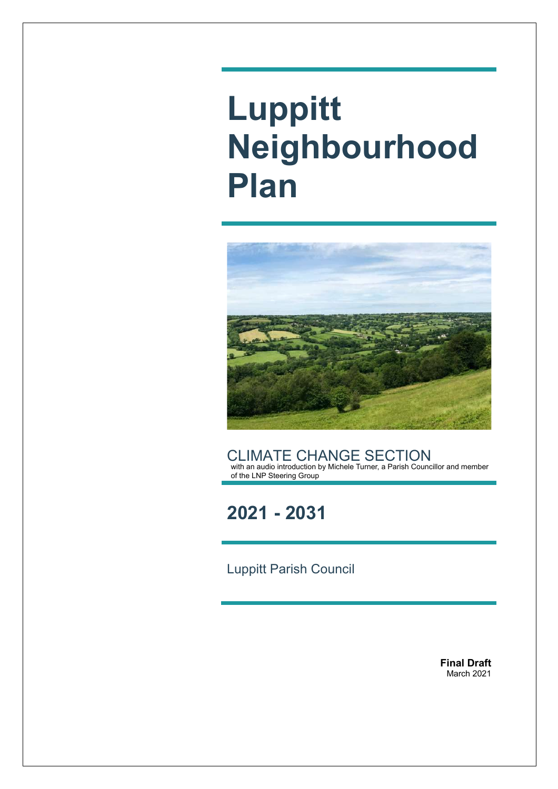# **Luppitt Neighbourhood Plan**



CLIMATE CHANGE SECTION with an audio introduction by Michele Turner, a Parish Councillor and member of the LNP Steering Group

**2021 - 2031**

Luppitt Parish Council

**Final Draft** March 2021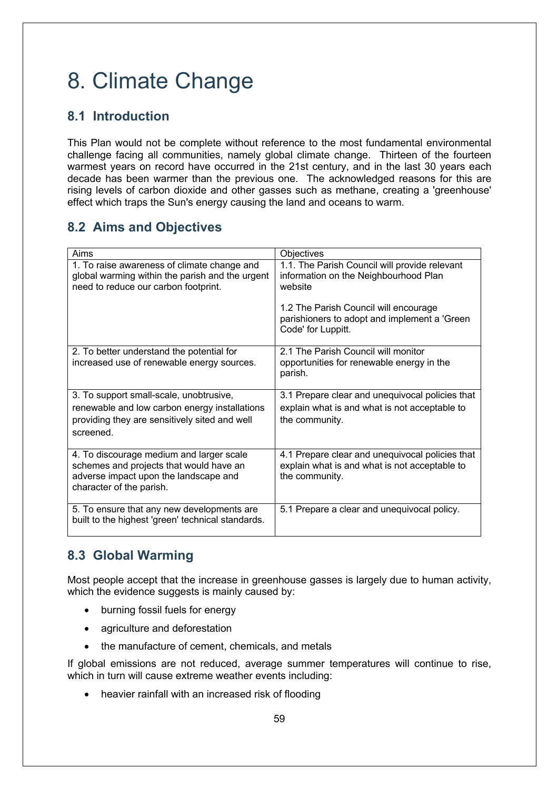# 8. Climate Change

# **8.1 Introduction**

This Plan would not be complete without reference to the most fundamental environmental challenge facing all communities, namely global climate change. Thirteen of the fourteen warmest years on record have occurred in the 21st century, and in the last 30 years each decade has been warmer than the previous one. The acknowledged reasons for this are rising levels of carbon dioxide and other gasses such as methane, creating a 'greenhouse' effect which traps the Sun's energy causing the land and oceans to warm.

# **8.2 Aims and Objectives**

| Aims                                                                                                                                                     | <b>Objectives</b>                                                                                                  |
|----------------------------------------------------------------------------------------------------------------------------------------------------------|--------------------------------------------------------------------------------------------------------------------|
| 1. To raise awareness of climate change and<br>global warming within the parish and the urgent<br>need to reduce our carbon footprint.                   | 1.1. The Parish Council will provide relevant<br>information on the Neighbourhood Plan<br>website                  |
|                                                                                                                                                          | 1.2 The Parish Council will encourage<br>parishioners to adopt and implement a 'Green<br>Code' for Luppitt.        |
| 2. To better understand the potential for<br>increased use of renewable energy sources.                                                                  | 2.1 The Parish Council will monitor<br>opportunities for renewable energy in the<br>parish.                        |
| 3. To support small-scale, unobtrusive,<br>renewable and low carbon energy installations<br>providing they are sensitively sited and well<br>screened.   | 3.1 Prepare clear and unequivocal policies that<br>explain what is and what is not acceptable to<br>the community. |
| 4. To discourage medium and larger scale<br>schemes and projects that would have an<br>adverse impact upon the landscape and<br>character of the parish. | 4.1 Prepare clear and unequivocal policies that<br>explain what is and what is not acceptable to<br>the community. |
| 5. To ensure that any new developments are<br>built to the highest 'green' technical standards.                                                          | 5.1 Prepare a clear and unequivocal policy.                                                                        |

# **8.3 Global Warming**

Most people accept that the increase in greenhouse gasses is largely due to human activity, which the evidence suggests is mainly caused by:

- burning fossil fuels for energy
- agriculture and deforestation
- the manufacture of cement, chemicals, and metals

If global emissions are not reduced, average summer temperatures will continue to rise, which in turn will cause extreme weather events including:

• heavier rainfall with an increased risk of flooding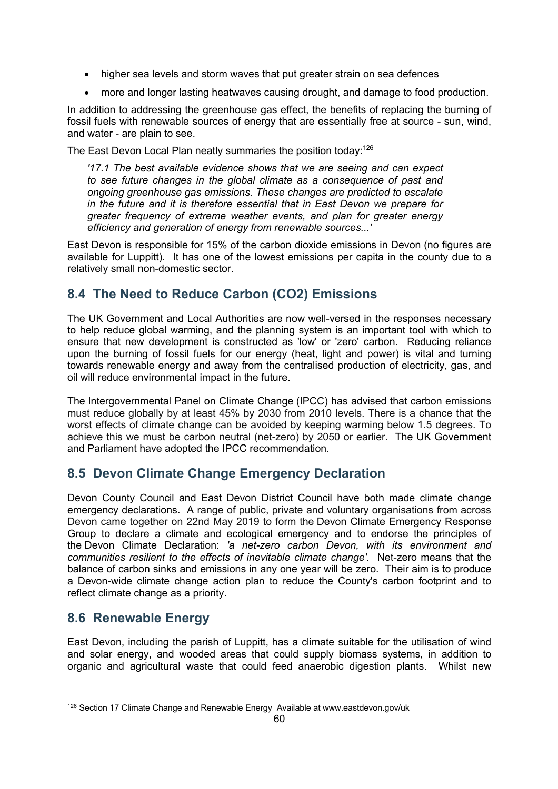- higher sea levels and storm waves that put greater strain on sea defences
- more and longer lasting heatwaves causing drought, and damage to food production.

In addition to addressing the greenhouse gas effect, the benefits of replacing the burning of fossil fuels with renewable sources of energy that are essentially free at source - sun, wind, and water - are plain to see.

The East Devon Local Plan neatly summaries the position today:<sup>126</sup>

*'17.1 The best available evidence shows that we are seeing and can expect to see future changes in the global climate as a consequence of past and ongoing greenhouse gas emissions. These changes are predicted to escalate in the future and it is therefore essential that in East Devon we prepare for greater frequency of extreme weather events, and plan for greater energy efficiency and generation of energy from renewable sources...'*

East Devon is responsible for 15% of the carbon dioxide emissions in Devon (no figures are available for Luppitt). It has one of the lowest emissions per capita in the county due to a relatively small non-domestic sector.

# **8.4 The Need to Reduce Carbon (CO2) Emissions**

The UK Government and Local Authorities are now well-versed in the responses necessary to help reduce global warming, and the planning system is an important tool with which to ensure that new development is constructed as 'low' or 'zero' carbon. Reducing reliance upon the burning of fossil fuels for our energy (heat, light and power) is vital and turning towards renewable energy and away from the centralised production of electricity, gas, and oil will reduce environmental impact in the future.

The Intergovernmental Panel on Climate Change (IPCC) has advised that carbon emissions must reduce globally by at least 45% by 2030 from 2010 levels. There is a chance that the worst effects of climate change can be avoided by keeping warming below 1.5 degrees. To achieve this we must be carbon neutral (net-zero) by 2050 or earlier. The UK Government and Parliament have adopted the IPCC recommendation.

# **8.5 Devon Climate Change Emergency Declaration**

Devon County Council and East Devon District Council have both made climate change emergency declarations. A range of public, private and voluntary organisations from across Devon came together on 22nd May 2019 to form the Devon Climate Emergency Response Group to declare a climate and ecological emergency and to endorse the principles of the Devon Climate Declaration: *'a net-zero carbon Devon, with its environment and communities resilient to the effects of inevitable climate change'.* Net-zero means that the balance of carbon sinks and emissions in any one year will be zero. Their aim is to produce a Devon-wide climate change action plan to reduce the County's carbon footprint and to reflect climate change as a priority.

#### **8.6 Renewable Energy**

East Devon, including the parish of Luppitt, has a climate suitable for the utilisation of wind and solar energy, and wooded areas that could supply biomass systems, in addition to organic and agricultural waste that could feed anaerobic digestion plants. Whilst new

<sup>126</sup> Section 17 Climate Change and Renewable Energy Available at www.eastdevon.gov/uk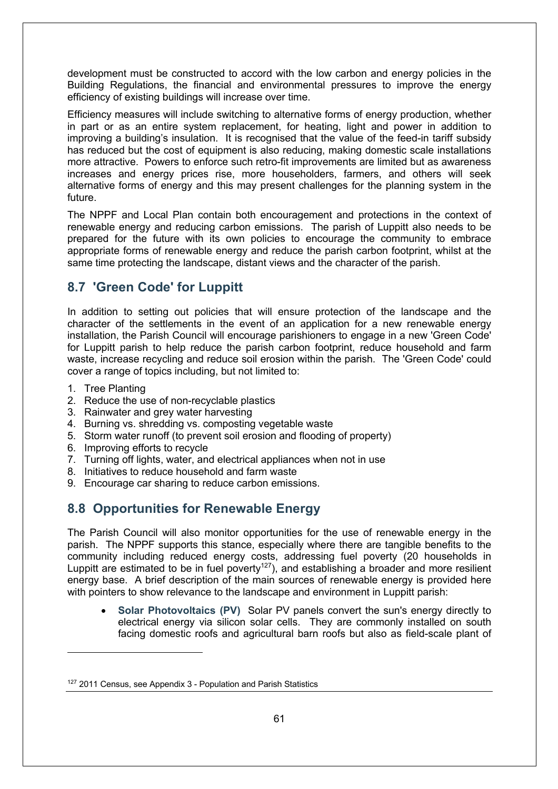development must be constructed to accord with the low carbon and energy policies in the Building Regulations, the financial and environmental pressures to improve the energy efficiency of existing buildings will increase over time.

Efficiency measures will include switching to alternative forms of energy production, whether in part or as an entire system replacement, for heating, light and power in addition to improving a building's insulation. It is recognised that the value of the feed-in tariff subsidy has reduced but the cost of equipment is also reducing, making domestic scale installations more attractive. Powers to enforce such retro-fit improvements are limited but as awareness increases and energy prices rise, more householders, farmers, and others will seek alternative forms of energy and this may present challenges for the planning system in the future.

The NPPF and Local Plan contain both encouragement and protections in the context of renewable energy and reducing carbon emissions. The parish of Luppitt also needs to be prepared for the future with its own policies to encourage the community to embrace appropriate forms of renewable energy and reduce the parish carbon footprint, whilst at the same time protecting the landscape, distant views and the character of the parish.

### **8.7 'Green Code' for Luppitt**

In addition to setting out policies that will ensure protection of the landscape and the character of the settlements in the event of an application for a new renewable energy installation, the Parish Council will encourage parishioners to engage in a new 'Green Code' for Luppitt parish to help reduce the parish carbon footprint, reduce household and farm waste, increase recycling and reduce soil erosion within the parish. The 'Green Code' could cover a range of topics including, but not limited to:

- 1. Tree Planting
- 2. Reduce the use of non-recyclable plastics
- 3. Rainwater and grey water harvesting
- 4. Burning vs. shredding vs. composting vegetable waste
- 5. Storm water runoff (to prevent soil erosion and flooding of property)
- 6. Improving efforts to recycle
- 7. Turning off lights, water, and electrical appliances when not in use
- 8. Initiatives to reduce household and farm waste
- 9. Encourage car sharing to reduce carbon emissions.

#### **8.8 Opportunities for Renewable Energy**

The Parish Council will also monitor opportunities for the use of renewable energy in the parish. The NPPF supports this stance, especially where there are tangible benefits to the community including reduced energy costs, addressing fuel poverty (20 households in Luppitt are estimated to be in fuel poverty<sup>127</sup>), and establishing a broader and more resilient energy base. A brief description of the main sources of renewable energy is provided here with pointers to show relevance to the landscape and environment in Luppitt parish:

• **Solar Photovoltaics (PV)** Solar PV panels convert the sun's energy directly to electrical energy via silicon solar cells. They are commonly installed on south facing domestic roofs and agricultural barn roofs but also as field-scale plant of

<sup>&</sup>lt;sup>127</sup> 2011 Census, see Appendix 3 - Population and Parish Statistics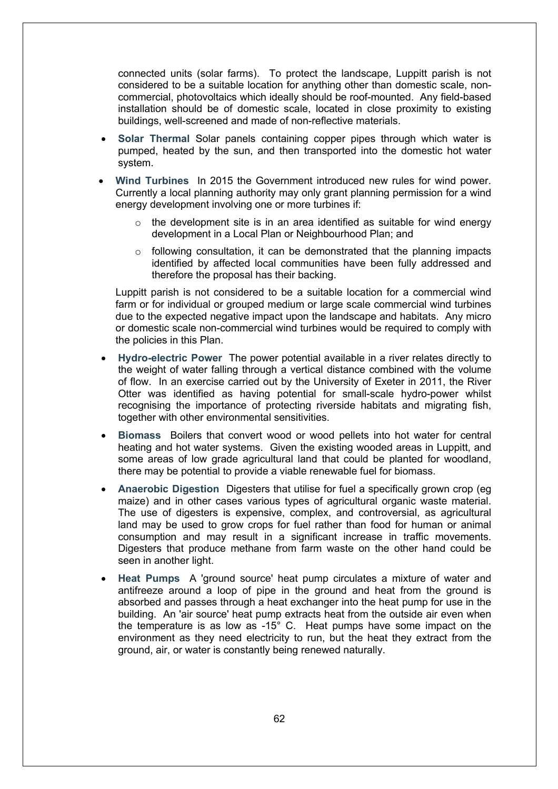connected units (solar farms). To protect the landscape, Luppitt parish is not considered to be a suitable location for anything other than domestic scale, noncommercial, photovoltaics which ideally should be roof-mounted. Any field-based installation should be of domestic scale, located in close proximity to existing buildings, well-screened and made of non-reflective materials.

- **Solar Thermal** Solar panels containing copper pipes through which water is pumped, heated by the sun, and then transported into the domestic hot water system.
- **Wind Turbines** In 2015 the Government introduced new rules for wind power. Currently a local planning authority may only grant planning permission for a wind energy development involving one or more turbines if:
	- $\circ$  the development site is in an area identified as suitable for wind energy development in a Local Plan or Neighbourhood Plan; and
	- $\circ$  following consultation, it can be demonstrated that the planning impacts identified by affected local communities have been fully addressed and therefore the proposal has their backing.

Luppitt parish is not considered to be a suitable location for a commercial wind farm or for individual or grouped medium or large scale commercial wind turbines due to the expected negative impact upon the landscape and habitats. Any micro or domestic scale non-commercial wind turbines would be required to comply with the policies in this Plan.

- **Hydro-electric Power** The power potential available in a river relates directly to the weight of water falling through a vertical distance combined with the volume of flow. In an exercise carried out by the University of Exeter in 2011, the River Otter was identified as having potential for small-scale hydro-power whilst recognising the importance of protecting riverside habitats and migrating fish, together with other environmental sensitivities.
- **Biomass** Boilers that convert wood or wood pellets into hot water for central heating and hot water systems. Given the existing wooded areas in Luppitt, and some areas of low grade agricultural land that could be planted for woodland, there may be potential to provide a viable renewable fuel for biomass.
- **Anaerobic Digestion** Digesters that utilise for fuel a specifically grown crop (eg maize) and in other cases various types of agricultural organic waste material. The use of digesters is expensive, complex, and controversial, as agricultural land may be used to grow crops for fuel rather than food for human or animal consumption and may result in a significant increase in traffic movements. Digesters that produce methane from farm waste on the other hand could be seen in another light.
- **Heat Pumps** A 'ground source' heat pump circulates a mixture of water and antifreeze around a loop of pipe in the ground and heat from the ground is absorbed and passes through a heat exchanger into the heat pump for use in the building. An 'air source' heat pump extracts heat from the outside air even when the temperature is as low as -15° C. Heat pumps have some impact on the environment as they need electricity to run, but the heat they extract from the ground, air, or water is constantly being renewed naturally.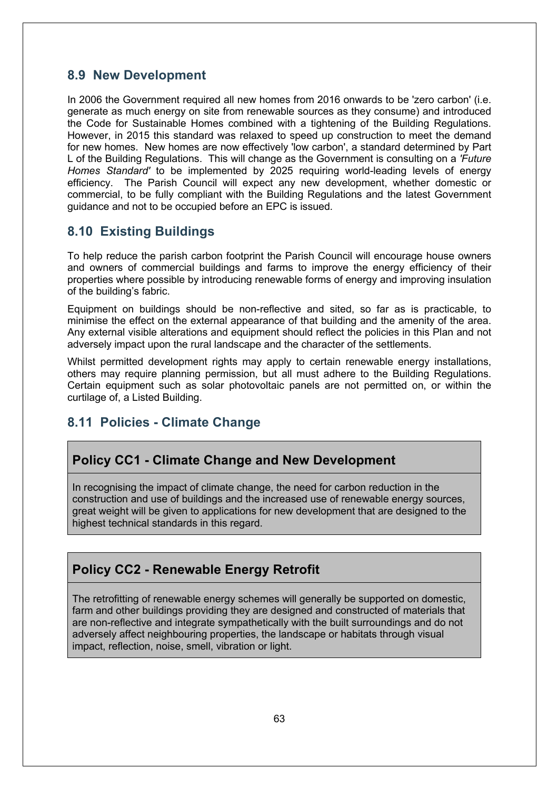#### **8.9 New Development**

In 2006 the Government required all new homes from 2016 onwards to be 'zero carbon' (i.e. generate as much energy on site from renewable sources as they consume) and introduced the Code for Sustainable Homes combined with a tightening of the Building Regulations. However, in 2015 this standard was relaxed to speed up construction to meet the demand for new homes. New homes are now effectively 'low carbon', a standard determined by Part L of the Building Regulations. This will change as the Government is consulting on a *'Future Homes Standard'* to be implemented by 2025 requiring world-leading levels of energy efficiency. The Parish Council will expect any new development, whether domestic or commercial, to be fully compliant with the Building Regulations and the latest Government guidance and not to be occupied before an EPC is issued*.*

# **8.10 Existing Buildings**

To help reduce the parish carbon footprint the Parish Council will encourage house owners and owners of commercial buildings and farms to improve the energy efficiency of their properties where possible by introducing renewable forms of energy and improving insulation of the building's fabric.

Equipment on buildings should be non-reflective and sited, so far as is practicable, to minimise the effect on the external appearance of that building and the amenity of the area. Any external visible alterations and equipment should reflect the policies in this Plan and not adversely impact upon the rural landscape and the character of the settlements.

Whilst permitted development rights may apply to certain renewable energy installations, others may require planning permission, but all must adhere to the Building Regulations. Certain equipment such as solar photovoltaic panels are not permitted on, or within the curtilage of, a Listed Building.

# **8.11 Policies - Climate Change**

# **Policy CC1 - Climate Change and New Development**

In recognising the impact of climate change, the need for carbon reduction in the construction and use of buildings and the increased use of renewable energy sources, great weight will be given to applications for new development that are designed to the highest technical standards in this regard.

# **Policy CC2 - Renewable Energy Retrofit**

The retrofitting of renewable energy schemes will generally be supported on domestic, farm and other buildings providing they are designed and constructed of materials that are non-reflective and integrate sympathetically with the built surroundings and do not adversely affect neighbouring properties, the landscape or habitats through visual impact, reflection, noise, smell, vibration or light.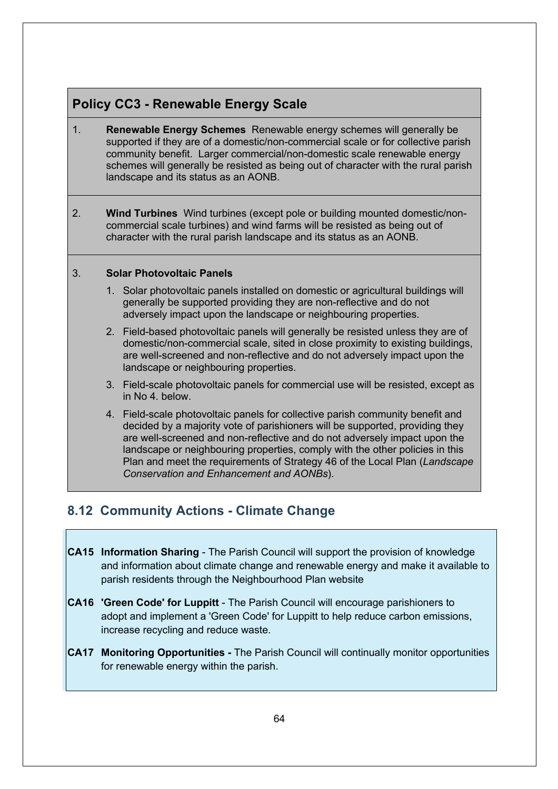# **Policy CC3 - Renewable Energy Scale**

- 1. **Renewable Energy Schemes** Renewable energy schemes will generally be supported if they are of a domestic/non-commercial scale or for collective parish community benefit. Larger commercial/non-domestic scale renewable energy schemes will generally be resisted as being out of character with the rural parish landscape and its status as an AONB.
- 2. **Wind Turbines** Wind turbines (except pole or building mounted domestic/noncommercial scale turbines) and wind farms will be resisted as being out of character with the rural parish landscape and its status as an AONB.

#### 3. **Solar Photovoltaic Panels**

- 1. Solar photovoltaic panels installed on domestic or agricultural buildings will generally be supported providing they are non-reflective and do not adversely impact upon the landscape or neighbouring properties.
- 2. Field-based photovoltaic panels will generally be resisted unless they are of domestic/non-commercial scale, sited in close proximity to existing buildings, are well-screened and non-reflective and do not adversely impact upon the landscape or neighbouring properties.
- 3. Field-scale photovoltaic panels for commercial use will be resisted, except as in No 4. below.
- 4. Field-scale photovoltaic panels for collective parish community benefit and decided by a majority vote of parishioners will be supported, providing they are well-screened and non-reflective and do not adversely impact upon the landscape or neighbouring properties, comply with the other policies in this Plan and meet the requirements of Strategy 46 of the Local Plan (*Landscape Conservation and Enhancement and AONBs*).

# **8.12 Community Actions - Climate Change**

- **CA15 Information Sharing** The Parish Council will support the provision of knowledge and information about climate change and renewable energy and make it available to parish residents through the Neighbourhood Plan website
- **CA16 'Green Code' for Luppitt** The Parish Council will encourage parishioners to adopt and implement a 'Green Code' for Luppitt to help reduce carbon emissions, increase recycling and reduce waste.
- **CA17 Monitoring Opportunities -** The Parish Council will continually monitor opportunities for renewable energy within the parish.